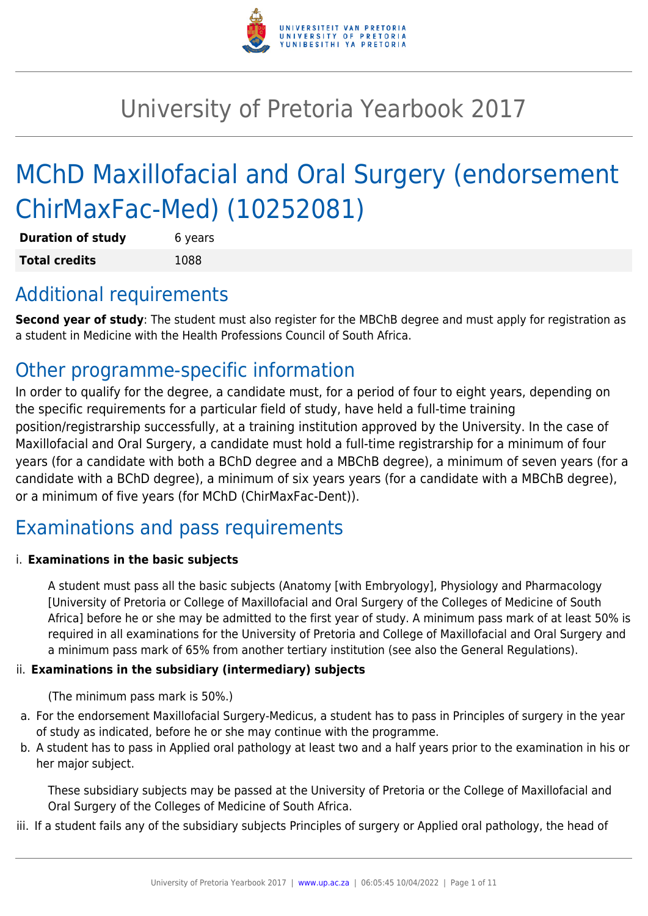

# University of Pretoria Yearbook 2017

# MChD Maxillofacial and Oral Surgery (endorsement ChirMaxFac-Med) (10252081)

| <b>Duration of study</b> | 6 years |
|--------------------------|---------|
| <b>Total credits</b>     | 1088    |

### Additional requirements

**Second year of study**: The student must also register for the MBChB degree and must apply for registration as a student in Medicine with the Health Professions Council of South Africa.

### Other programme-specific information

In order to qualify for the degree, a candidate must, for a period of four to eight years, depending on the specific requirements for a particular field of study, have held a full-time training position/registrarship successfully, at a training institution approved by the University. In the case of Maxillofacial and Oral Surgery, a candidate must hold a full-time registrarship for a minimum of four years (for a candidate with both a BChD degree and a MBChB degree), a minimum of seven years (for a candidate with a BChD degree), a minimum of six years years (for a candidate with a MBChB degree), or a minimum of five years (for MChD (ChirMaxFac-Dent)).

### Examinations and pass requirements

#### i. **Examinations in the basic subjects**

A student must pass all the basic subjects (Anatomy [with Embryology], Physiology and Pharmacology [University of Pretoria or College of Maxillofacial and Oral Surgery of the Colleges of Medicine of South Africa] before he or she may be admitted to the first year of study. A minimum pass mark of at least 50% is required in all examinations for the University of Pretoria and College of Maxillofacial and Oral Surgery and a minimum pass mark of 65% from another tertiary institution (see also the General Regulations).

#### ii. **Examinations in the subsidiary (intermediary) subjects**

(The minimum pass mark is 50%.)

- a. For the endorsement Maxillofacial Surgery-Medicus, a student has to pass in Principles of surgery in the year of study as indicated, before he or she may continue with the programme.
- b. A student has to pass in Applied oral pathology at least two and a half years prior to the examination in his or her major subject.

These subsidiary subjects may be passed at the University of Pretoria or the College of Maxillofacial and Oral Surgery of the Colleges of Medicine of South Africa.

iii. If a student fails any of the subsidiary subjects Principles of surgery or Applied oral pathology, the head of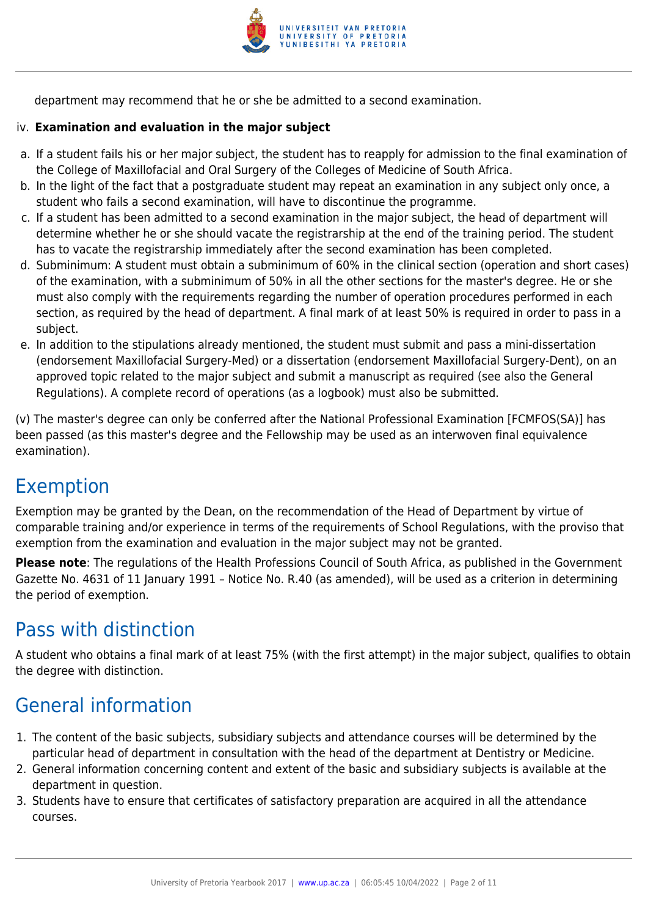

department may recommend that he or she be admitted to a second examination.

#### iv. **Examination and evaluation in the major subject**

- a. If a student fails his or her major subject, the student has to reapply for admission to the final examination of the College of Maxillofacial and Oral Surgery of the Colleges of Medicine of South Africa.
- b. In the light of the fact that a postgraduate student may repeat an examination in any subject only once, a student who fails a second examination, will have to discontinue the programme.
- c. If a student has been admitted to a second examination in the major subject, the head of department will determine whether he or she should vacate the registrarship at the end of the training period. The student has to vacate the registrarship immediately after the second examination has been completed.
- d. Subminimum: A student must obtain a subminimum of 60% in the clinical section (operation and short cases) of the examination, with a subminimum of 50% in all the other sections for the master's degree. He or she must also comply with the requirements regarding the number of operation procedures performed in each section, as required by the head of department. A final mark of at least 50% is required in order to pass in a subject.
- e. In addition to the stipulations already mentioned, the student must submit and pass a mini-dissertation (endorsement Maxillofacial Surgery-Med) or a dissertation (endorsement Maxillofacial Surgery-Dent), on an approved topic related to the major subject and submit a manuscript as required (see also the General Regulations). A complete record of operations (as a logbook) must also be submitted.

(v) The master's degree can only be conferred after the National Professional Examination [FCMFOS(SA)] has been passed (as this master's degree and the Fellowship may be used as an interwoven final equivalence examination).

### Exemption

Exemption may be granted by the Dean, on the recommendation of the Head of Department by virtue of comparable training and/or experience in terms of the requirements of School Regulations, with the proviso that exemption from the examination and evaluation in the major subject may not be granted.

**Please note**: The regulations of the Health Professions Council of South Africa, as published in the Government Gazette No. 4631 of 11 January 1991 – Notice No. R.40 (as amended), will be used as a criterion in determining the period of exemption.

### Pass with distinction

A student who obtains a final mark of at least 75% (with the first attempt) in the major subject, qualifies to obtain the degree with distinction.

### General information

- 1. The content of the basic subjects, subsidiary subjects and attendance courses will be determined by the particular head of department in consultation with the head of the department at Dentistry or Medicine.
- 2. General information concerning content and extent of the basic and subsidiary subjects is available at the department in question.
- 3. Students have to ensure that certificates of satisfactory preparation are acquired in all the attendance courses.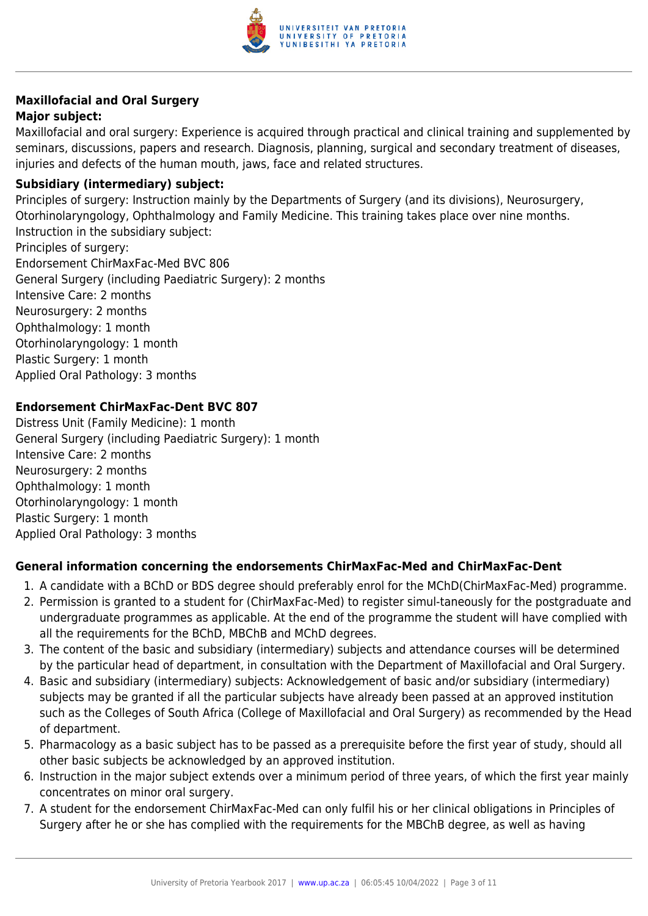

### **Maxillofacial and Oral Surgery**

#### **Major subject:**

Maxillofacial and oral surgery: Experience is acquired through practical and clinical training and supplemented by seminars, discussions, papers and research. Diagnosis, planning, surgical and secondary treatment of diseases, injuries and defects of the human mouth, jaws, face and related structures.

#### **Subsidiary (intermediary) subject:**

Principles of surgery: Instruction mainly by the Departments of Surgery (and its divisions), Neurosurgery, Otorhinolaryngology, Ophthalmology and Family Medicine. This training takes place over nine months. Instruction in the subsidiary subject: Principles of surgery: Endorsement ChirMaxFac-Med BVC 806 General Surgery (including Paediatric Surgery): 2 months Intensive Care: 2 months Neurosurgery: 2 months Ophthalmology: 1 month Otorhinolaryngology: 1 month Plastic Surgery: 1 month Applied Oral Pathology: 3 months

#### **Endorsement ChirMaxFac-Dent BVC 807**

Distress Unit (Family Medicine): 1 month General Surgery (including Paediatric Surgery): 1 month Intensive Care: 2 months Neurosurgery: 2 months Ophthalmology: 1 month Otorhinolaryngology: 1 month Plastic Surgery: 1 month Applied Oral Pathology: 3 months

#### **General information concerning the endorsements ChirMaxFac-Med and ChirMaxFac-Dent**

- 1. A candidate with a BChD or BDS degree should preferably enrol for the MChD(ChirMaxFac-Med) programme.
- 2. Permission is granted to a student for (ChirMaxFac-Med) to register simul-taneously for the postgraduate and undergraduate programmes as applicable. At the end of the programme the student will have complied with all the requirements for the BChD, MBChB and MChD degrees.
- 3. The content of the basic and subsidiary (intermediary) subjects and attendance courses will be determined by the particular head of department, in consultation with the Department of Maxillofacial and Oral Surgery.
- 4. Basic and subsidiary (intermediary) subjects: Acknowledgement of basic and/or subsidiary (intermediary) subjects may be granted if all the particular subjects have already been passed at an approved institution such as the Colleges of South Africa (College of Maxillofacial and Oral Surgery) as recommended by the Head of department.
- 5. Pharmacology as a basic subject has to be passed as a prerequisite before the first year of study, should all other basic subjects be acknowledged by an approved institution.
- 6. Instruction in the major subject extends over a minimum period of three years, of which the first year mainly concentrates on minor oral surgery.
- 7. A student for the endorsement ChirMaxFac-Med can only fulfil his or her clinical obligations in Principles of Surgery after he or she has complied with the requirements for the MBChB degree, as well as having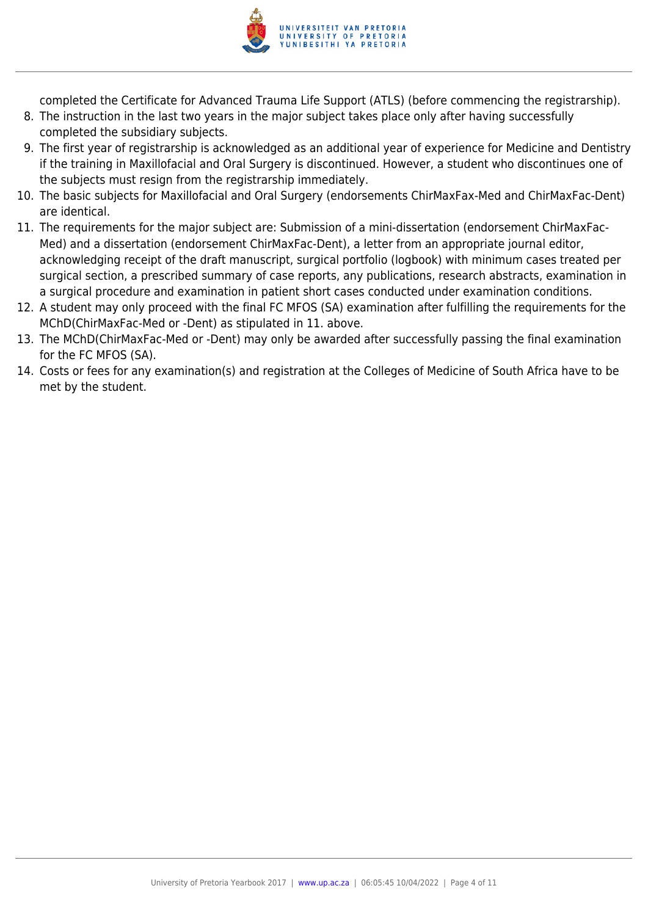

completed the Certificate for Advanced Trauma Life Support (ATLS) (before commencing the registrarship).

- 8. The instruction in the last two years in the major subject takes place only after having successfully completed the subsidiary subjects.
- 9. The first year of registrarship is acknowledged as an additional year of experience for Medicine and Dentistry if the training in Maxillofacial and Oral Surgery is discontinued. However, a student who discontinues one of the subjects must resign from the registrarship immediately.
- 10. The basic subjects for Maxillofacial and Oral Surgery (endorsements ChirMaxFax-Med and ChirMaxFac-Dent) are identical.
- 11. The requirements for the major subject are: Submission of a mini-dissertation (endorsement ChirMaxFac-Med) and a dissertation (endorsement ChirMaxFac-Dent), a letter from an appropriate journal editor, acknowledging receipt of the draft manuscript, surgical portfolio (logbook) with minimum cases treated per surgical section, a prescribed summary of case reports, any publications, research abstracts, examination in a surgical procedure and examination in patient short cases conducted under examination conditions.
- 12. A student may only proceed with the final FC MFOS (SA) examination after fulfilling the requirements for the MChD(ChirMaxFac-Med or -Dent) as stipulated in 11. above.
- 13. The MChD(ChirMaxFac-Med or -Dent) may only be awarded after successfully passing the final examination for the FC MFOS (SA).
- 14. Costs or fees for any examination(s) and registration at the Colleges of Medicine of South Africa have to be met by the student.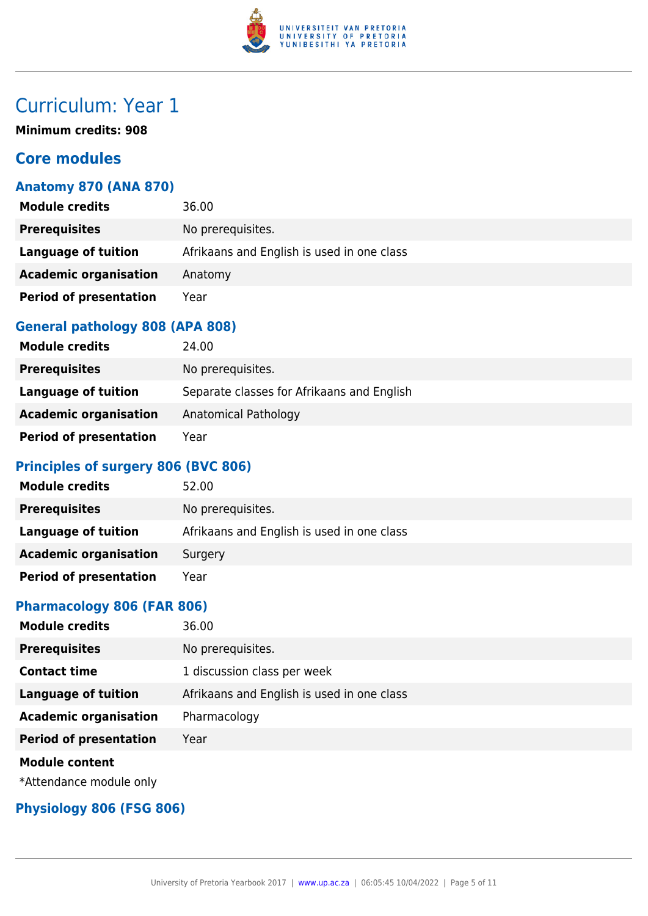

**Minimum credits: 908**

#### **Core modules**

#### **Anatomy 870 (ANA 870)**

| <b>Module credits</b>         | 36.00                                      |
|-------------------------------|--------------------------------------------|
| <b>Prerequisites</b>          | No prerequisites.                          |
| Language of tuition           | Afrikaans and English is used in one class |
| <b>Academic organisation</b>  | Anatomy                                    |
| <b>Period of presentation</b> | Year                                       |

#### **General pathology 808 (APA 808)**

| <b>Module credits</b>         | 24.00                                      |
|-------------------------------|--------------------------------------------|
| <b>Prerequisites</b>          | No prerequisites.                          |
| Language of tuition           | Separate classes for Afrikaans and English |
| <b>Academic organisation</b>  | Anatomical Pathology                       |
| <b>Period of presentation</b> | Year                                       |

#### **Principles of surgery 806 (BVC 806)**

| <b>Module credits</b>         | 52.00                                      |
|-------------------------------|--------------------------------------------|
| <b>Prerequisites</b>          | No prerequisites.                          |
| Language of tuition           | Afrikaans and English is used in one class |
| <b>Academic organisation</b>  | Surgery                                    |
| <b>Period of presentation</b> | Year                                       |

#### **Pharmacology 806 (FAR 806)**

| <b>Module credits</b>         | 36.00                                      |
|-------------------------------|--------------------------------------------|
| <b>Prerequisites</b>          | No prerequisites.                          |
| <b>Contact time</b>           | 1 discussion class per week                |
| <b>Language of tuition</b>    | Afrikaans and English is used in one class |
| <b>Academic organisation</b>  | Pharmacology                               |
| <b>Period of presentation</b> | Year                                       |
| <b>Module content</b>         |                                            |
| *Attendance module only       |                                            |

#### **Physiology 806 (FSG 806)**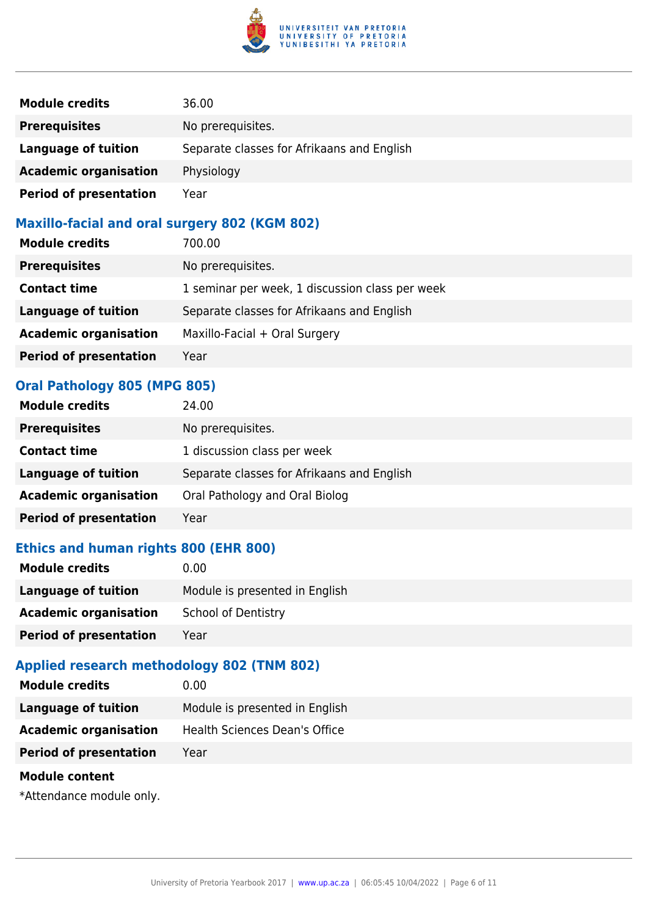

| <b>Module credits</b>         | 36.00                                      |
|-------------------------------|--------------------------------------------|
| <b>Prerequisites</b>          | No prerequisites.                          |
| <b>Language of tuition</b>    | Separate classes for Afrikaans and English |
| <b>Academic organisation</b>  | Physiology                                 |
| <b>Period of presentation</b> | Year                                       |

#### **Maxillo-facial and oral surgery 802 (KGM 802)**

| <b>Module credits</b>         | 700.00                                          |
|-------------------------------|-------------------------------------------------|
| <b>Prerequisites</b>          | No prerequisites.                               |
| <b>Contact time</b>           | 1 seminar per week, 1 discussion class per week |
| <b>Language of tuition</b>    | Separate classes for Afrikaans and English      |
| <b>Academic organisation</b>  | Maxillo-Facial + Oral Surgery                   |
| <b>Period of presentation</b> | Year                                            |

#### **Oral Pathology 805 (MPG 805)**

| <b>Module credits</b>         | 24.00                                      |
|-------------------------------|--------------------------------------------|
| <b>Prerequisites</b>          | No prerequisites.                          |
| <b>Contact time</b>           | 1 discussion class per week                |
| <b>Language of tuition</b>    | Separate classes for Afrikaans and English |
| <b>Academic organisation</b>  | Oral Pathology and Oral Biolog             |
| <b>Period of presentation</b> | Year                                       |

#### **Ethics and human rights 800 (EHR 800)**

| <b>Module credits</b>         | 0.00                           |
|-------------------------------|--------------------------------|
| Language of tuition           | Module is presented in English |
| <b>Academic organisation</b>  | <b>School of Dentistry</b>     |
| <b>Period of presentation</b> | Year                           |

#### **Applied research methodology 802 (TNM 802)**

| <b>Module credits</b>         | 0.00                           |
|-------------------------------|--------------------------------|
| Language of tuition           | Module is presented in English |
| <b>Academic organisation</b>  | Health Sciences Dean's Office  |
| <b>Period of presentation</b> | Year                           |
| <b>Module content</b>         |                                |

\*Attendance module only.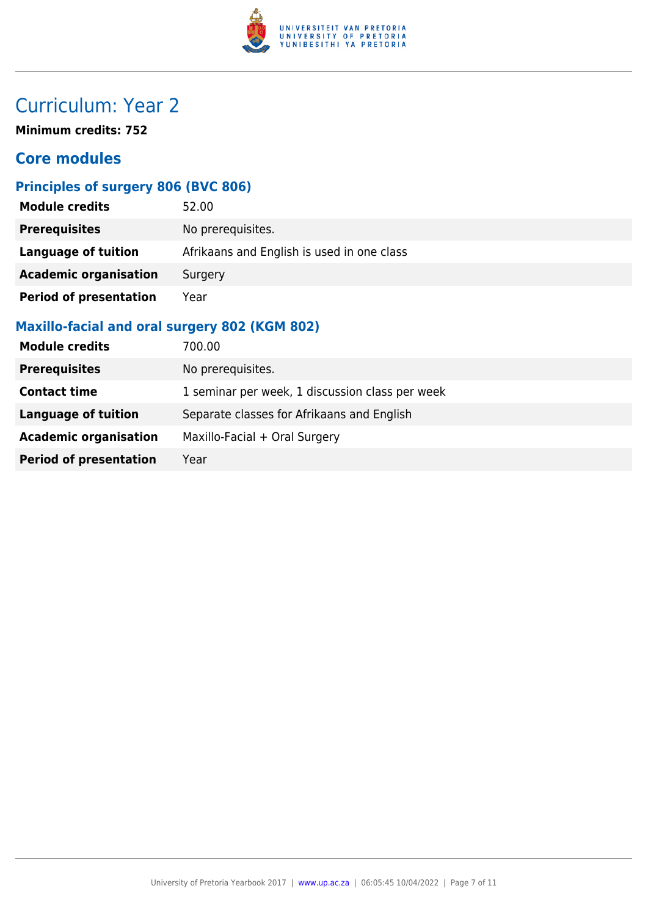

**Minimum credits: 752**

#### **Core modules**

#### **Principles of surgery 806 (BVC 806)**

| <b>Module credits</b>         | 52.00                                      |
|-------------------------------|--------------------------------------------|
| <b>Prerequisites</b>          | No prerequisites.                          |
| Language of tuition           | Afrikaans and English is used in one class |
| <b>Academic organisation</b>  | Surgery                                    |
| <b>Period of presentation</b> | Year                                       |

#### **Maxillo-facial and oral surgery 802 (KGM 802)**

| <b>Module credits</b>         | 700.00                                          |
|-------------------------------|-------------------------------------------------|
| <b>Prerequisites</b>          | No prerequisites.                               |
| <b>Contact time</b>           | 1 seminar per week, 1 discussion class per week |
| <b>Language of tuition</b>    | Separate classes for Afrikaans and English      |
| <b>Academic organisation</b>  | Maxillo-Facial + Oral Surgery                   |
| <b>Period of presentation</b> | Year                                            |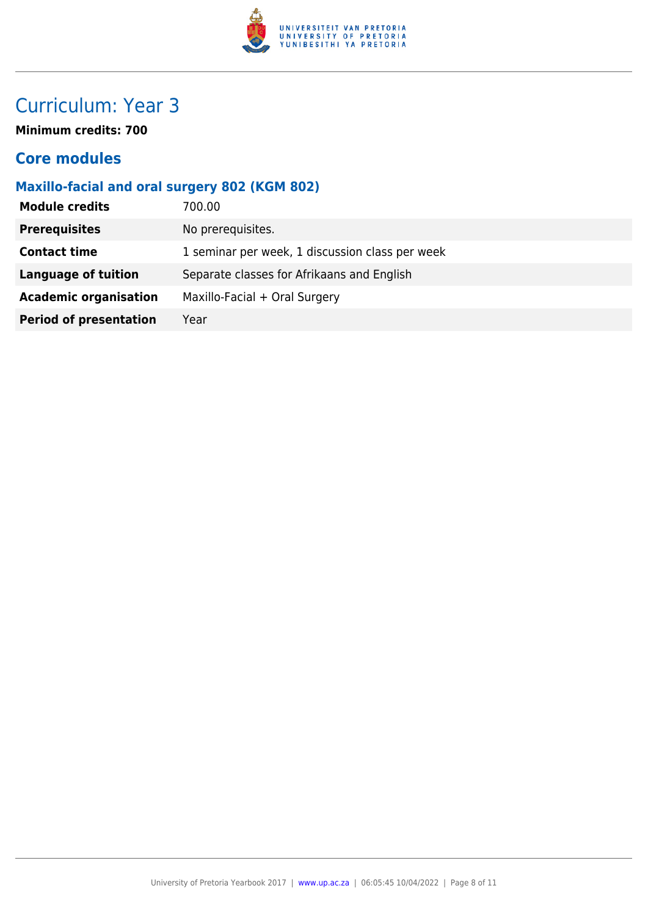

**Minimum credits: 700**

#### **Core modules**

#### **Maxillo-facial and oral surgery 802 (KGM 802)**

| <b>Module credits</b>         | 700.00                                          |
|-------------------------------|-------------------------------------------------|
| <b>Prerequisites</b>          | No prerequisites.                               |
| <b>Contact time</b>           | 1 seminar per week, 1 discussion class per week |
| <b>Language of tuition</b>    | Separate classes for Afrikaans and English      |
| <b>Academic organisation</b>  | Maxillo-Facial + Oral Surgery                   |
| <b>Period of presentation</b> | Year                                            |
|                               |                                                 |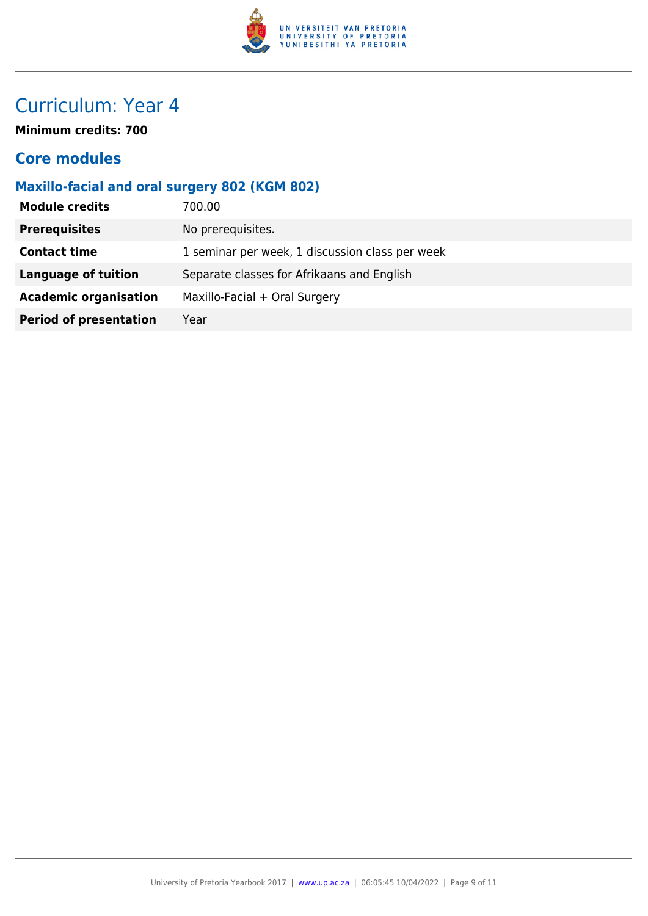

**Minimum credits: 700**

#### **Core modules**

#### **Maxillo-facial and oral surgery 802 (KGM 802)**

| 700.00                                          |
|-------------------------------------------------|
| No prerequisites.                               |
| 1 seminar per week, 1 discussion class per week |
| Separate classes for Afrikaans and English      |
| Maxillo-Facial + Oral Surgery                   |
| Year                                            |
|                                                 |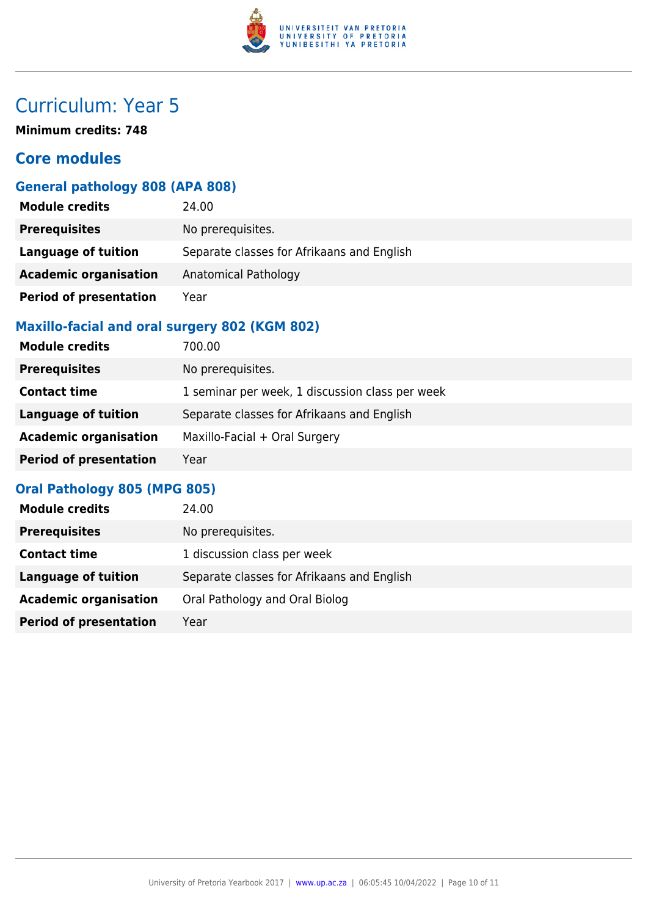

**Minimum credits: 748**

#### **Core modules**

#### **General pathology 808 (APA 808)**

| <b>Module credits</b>         | 24.00                                      |
|-------------------------------|--------------------------------------------|
| <b>Prerequisites</b>          | No prerequisites.                          |
| Language of tuition           | Separate classes for Afrikaans and English |
| <b>Academic organisation</b>  | Anatomical Pathology                       |
| <b>Period of presentation</b> | Year                                       |

#### **Maxillo-facial and oral surgery 802 (KGM 802)**

| <b>Module credits</b>         | 700.00                                          |
|-------------------------------|-------------------------------------------------|
| <b>Prerequisites</b>          | No prerequisites.                               |
| <b>Contact time</b>           | 1 seminar per week, 1 discussion class per week |
| <b>Language of tuition</b>    | Separate classes for Afrikaans and English      |
| <b>Academic organisation</b>  | Maxillo-Facial + Oral Surgery                   |
| <b>Period of presentation</b> | Year                                            |

#### **Oral Pathology 805 (MPG 805)**

| <b>Module credits</b>         | 24.00                                      |
|-------------------------------|--------------------------------------------|
| <b>Prerequisites</b>          | No prerequisites.                          |
| <b>Contact time</b>           | 1 discussion class per week                |
| Language of tuition           | Separate classes for Afrikaans and English |
| <b>Academic organisation</b>  | Oral Pathology and Oral Biolog             |
| <b>Period of presentation</b> | Year                                       |